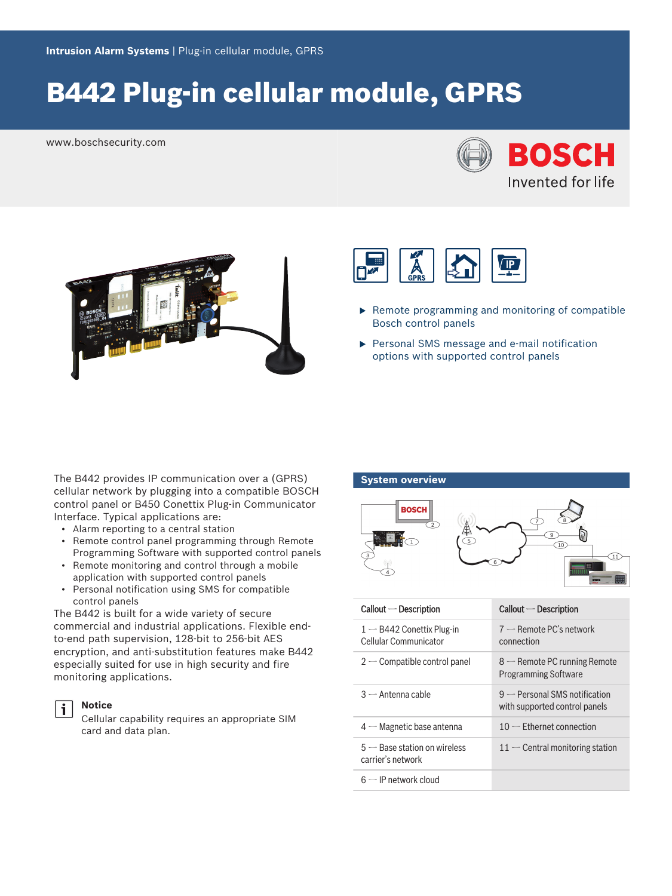## B442 Plug-in cellular module, GPRS

www.boschsecurity.com







- $\blacktriangleright$  Remote programming and monitoring of compatible Bosch control panels
- $\blacktriangleright$  Personal SMS message and e-mail notification options with supported control panels

The B442 provides IP communication over a (GPRS) cellular network by plugging into a compatible BOSCH control panel or B450 Conettix Plug-in Communicator Interface. Typical applications are:

- Alarm reporting to a central station
- Remote control panel programming through Remote Programming Software with supported control panels
- Remote monitoring and control through a mobile application with supported control panels
- Personal notification using SMS for compatible control panels

The B442 is built for a wide variety of secure commercial and industrial applications. Flexible endto-end path supervision, 128-bit to 256-bit AES encryption, and anti-substitution features make B442 especially suited for use in high security and fire monitoring applications.



#### **Notice**

Cellular capability requires an appropriate SIM card and data plan.

# **System overview ROSCH**  $\overline{11}$

| $Callout - Description$                              | $Callout - Description$                                          |
|------------------------------------------------------|------------------------------------------------------------------|
| $1 - B442$ Conettix Plug-in<br>Cellular Communicator | $7$ — Remote PC's network<br>connection                          |
| $2$ – Compatible control panel                       | $8$ — Remote PC running Remote<br><b>Programming Software</b>    |
| $3$ $-$ Antenna cable                                | $9$ — Personal SMS notification<br>with supported control panels |
| $4-$ Magnetic base antenna                           | $10$ – Ethernet connection                                       |
| $5 -$ Base station on wireless<br>carrier's network  | $11$ – Central monitoring station                                |
| $6$ — IP network cloud                               |                                                                  |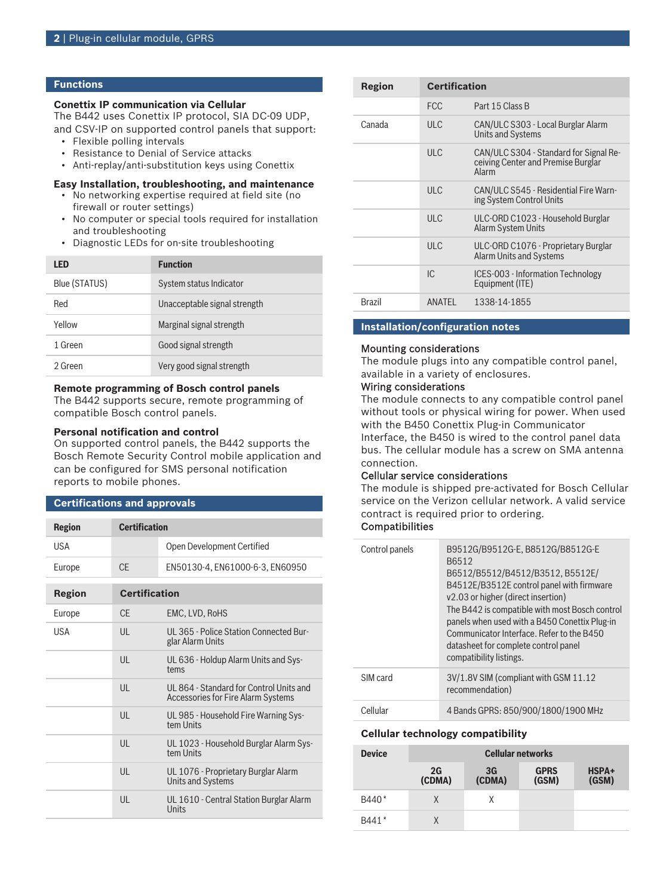#### **Functions**

#### **Conettix IP communication via Cellular**

The B442 uses Conettix IP protocol, SIA DC-09 UDP, and CSV-IP on supported control panels that support:

- Flexible polling intervals
- Resistance to Denial of Service attacks
- Anti-replay/anti-substitution keys using Conettix

#### **Easy Installation, troubleshooting, and maintenance**

- No networking expertise required at field site (no firewall or router settings)
- No computer or special tools required for installation and troubleshooting
- Diagnostic LEDs for on-site troubleshooting

| LED           | <b>Function</b>              |
|---------------|------------------------------|
| Blue (STATUS) | System status Indicator      |
| Red           | Unacceptable signal strength |
| Yellow        | Marginal signal strength     |
| 1 Green       | Good signal strength         |
| 2 Green       | Very good signal strength    |

#### **Remote programming of Bosch control panels**

The B442 supports secure, remote programming of compatible Bosch control panels.

#### **Personal notification and control**

On supported control panels, the B442 supports the Bosch Remote Security Control mobile application and can be configured for SMS personal notification reports to mobile phones.

#### **Certifications and approvals**

| <b>Region</b> | <b>Certification</b> |                                                                               |
|---------------|----------------------|-------------------------------------------------------------------------------|
| <b>USA</b>    |                      | Open Development Certified                                                    |
| Europe        | CF                   | EN50130-4, EN61000-6-3, EN60950                                               |
| Region        | <b>Certification</b> |                                                                               |
| Europe        | CF.                  | EMC, LVD, RoHS                                                                |
| <b>USA</b>    | $\mathsf{U}$         | UL 365 - Police Station Connected Bur-<br>glar Alarm Units                    |
|               | $\mathsf{U}$         | UL 636 - Holdup Alarm Units and Sys-<br>tems                                  |
|               | $\mathsf{U}$         | UL 864 - Standard for Control Units and<br>Accessories for Fire Alarm Systems |
|               | $\mathsf{U}$         | UL 985 - Household Fire Warning Sys-<br>tem Units                             |
|               | $\mathsf{U}$         | UL 1023 - Household Burglar Alarm Sys-<br>tem Units                           |
|               | $\mathsf{U}$         | UL 1076 - Proprietary Burglar Alarm<br><b>Units and Systems</b>               |
|               | UL                   | UL 1610 - Central Station Burglar Alarm<br>Units                              |

| Region        | <b>Certification</b> |                                                                                       |
|---------------|----------------------|---------------------------------------------------------------------------------------|
|               | <b>FCC</b>           | Part 15 Class B                                                                       |
| Canada        | ULC                  | CAN/ULC S303 - Local Burglar Alarm<br><b>Units and Systems</b>                        |
|               | ULC                  | CAN/ULC S304 - Standard for Signal Re-<br>ceiving Center and Premise Burglar<br>Alarm |
|               | ULC                  | CAN/ULC S545 - Residential Fire Warn-<br>ing System Control Units                     |
|               | ULC                  | ULC-ORD C1023 - Household Burglar<br><b>Alarm System Units</b>                        |
|               | ULC                  | ULC-ORD C1076 - Proprietary Burglar<br><b>Alarm Units and Systems</b>                 |
|               | IC.                  | ICES-003 - Information Technology<br>Equipment (ITE)                                  |
| <b>Brazil</b> | ANATFI               | 1338-14-1855                                                                          |

#### **Installation/configuration notes**

#### Mounting considerations

The module plugs into any compatible control panel, available in a variety of enclosures.

#### Wiring considerations

The module connects to any compatible control panel without tools or physical wiring for power. When used with the B450 Conettix Plug-in Communicator Interface, the B450 is wired to the control panel data bus. The cellular module has a screw on SMA antenna connection.

#### Cellular service considerations

The module is shipped pre-activated for Bosch Cellular service on the Verizon cellular network. A valid service contract is required prior to ordering.

#### **Compatibilities**

| Control panels | B9512G/B9512G-E, B8512G/B8512G-E<br>B6512<br>B6512/B5512/B4512/B3512.B5512E/<br>B4512E/B3512E control panel with firmware<br>v2.03 or higher (direct insertion)<br>The B442 is compatible with most Bosch control<br>panels when used with a B450 Conettix Plug-in<br>Communicator Interface, Refer to the B450<br>datasheet for complete control panel<br>compatibility listings. |
|----------------|------------------------------------------------------------------------------------------------------------------------------------------------------------------------------------------------------------------------------------------------------------------------------------------------------------------------------------------------------------------------------------|
| SIM card       | 3V/1.8V SIM (compliant with GSM 11.12)<br>recommendation)                                                                                                                                                                                                                                                                                                                          |
| Cellular       | 4 Bands GPRS: 850/900/1800/1900 MHz                                                                                                                                                                                                                                                                                                                                                |

#### **Cellular technology compatibility**

| <b>Device</b>     | <b>Cellular networks</b> |              |                      |                |
|-------------------|--------------------------|--------------|----------------------|----------------|
|                   | 2G<br>(CDMA)             | 3G<br>(CDMA) | <b>GPRS</b><br>(GSM) | HSPA+<br>(GSM) |
| B440 <sup>*</sup> | X                        | Χ            |                      |                |
| B441*             | X                        |              |                      |                |